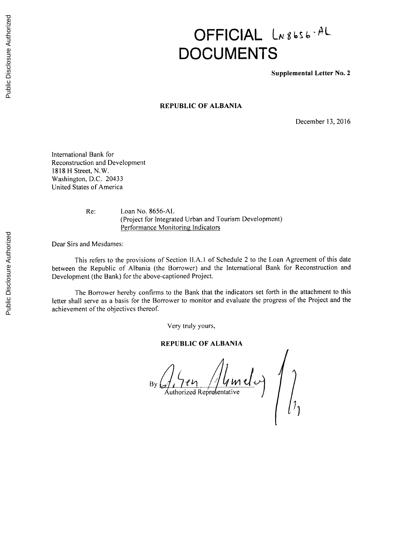# **OFFICIAL** LN8bs6-AL **DOCUMENTS**

**Supplemental Letter No. 2**

## **REPUBLIC OF ALBANIA**

December **13, 2016**

International Bank for Reconstruction and Development **1818** H Street, N.W. Washington, **D.C.** 20433 United States of America

Re: Loan No. **8656-AL** (Project for Integrated Urban and Tourism Development) Performance Monitoring Indicators

Dear Sirs and Mesdames:

This refers to the provisions of Section **II.A.1** of Schedule 2 to the Loan Agreement of this date between the Republic of Albania (the Borrower) and the International Bank for Reconstruction and Development (the Bank) for the above-captioned Project.

The Borrower hereby confirms to the Bank that the indicators set forth in the attachment to this letter shall serve as a basis for the Borrower to monitor and evaluate the progress of the Project and the achievement of the objectives thereof.

Very truly yours,

## **REPUBLIC OF ALBANIA**

**By** uthorized Representative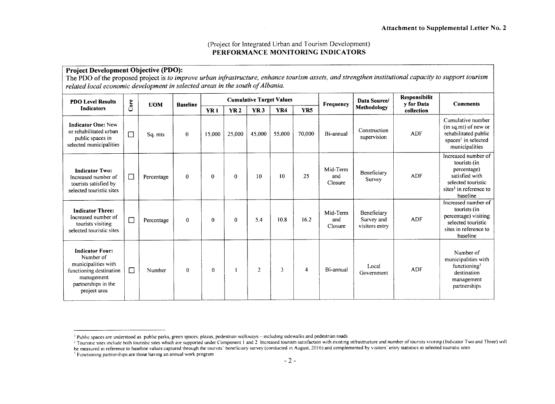## (Project for Integrated Urban and Tourism Development) **PERFORMANCE MONITORING INDICATORS**

## **Project Development Objective (PDO):** The PDO of the proposed project is *to improve urban infrastructure, enhance tourism assets, and strengthen institutional capacity to support tourism related local economic development in selected areas in the south ofAlbania.*

| <b>PDO Level Results</b>                                                                                                                   |        | <b>UOM</b> | <b>Baseline</b> |                 |              |                | <b>Cumulative Target Values</b> |                | Frequency                  | Responsibilit<br>Data Source/<br>v for Data<br>Methodology<br>collection |            | <b>Comments</b>                                                                                                                              |
|--------------------------------------------------------------------------------------------------------------------------------------------|--------|------------|-----------------|-----------------|--------------|----------------|---------------------------------|----------------|----------------------------|--------------------------------------------------------------------------|------------|----------------------------------------------------------------------------------------------------------------------------------------------|
| <b>Indicators</b>                                                                                                                          | Core   |            |                 | YR <sub>1</sub> | <b>YR2</b>   | <b>YR3</b>     | YR4                             | <b>YR5</b>     |                            |                                                                          |            |                                                                                                                                              |
| <b>Indicator One: New</b><br>or rehabilitated urban<br>public spaces in<br>selected municipalities                                         | $\Box$ | Sq. mts    | $\bf{0}$        | 15,000          | 25,000       | 45,000         | 55,000                          | 70,000         | Bi-annual                  | Construction<br>supervision                                              | ADF        | Cumulative number<br>$(in sq.mt)$ of new or<br>rehabilitated public<br>spaces <sup>1</sup> in selected<br>municipalities                     |
| <b>Indicator Two:</b><br>Increased number of<br>tourists satisfied by<br>selected touristic sites                                          | $\Box$ | Percentage | $\mathbf{0}$    | $\bf{0}$        | $\mathbf{0}$ | 10             | 10                              | 25             | Mid-Term<br>and<br>Closure | Beneficiary<br>Survey                                                    | <b>ADF</b> | Increased number of<br>tourists (in<br>percentage)<br>satisfied with<br>selected touristic<br>sites <sup>2</sup> in reference to<br>baseline |
| <b>Indicator Three:</b><br>Increased number of<br>tourists visiting<br>selected touristic sites                                            | $\Box$ | Percentage | $\Omega$        | $\theta$        | $\Omega$     | 5.4            | 10.8                            | 16.2           | Mid-Term<br>and<br>Closure | Beneficiary<br>Survey and<br>visitors entry                              | <b>ADF</b> | Increased number of<br>tourists (in<br>percentage) visiting<br>selected touristic<br>sites in reference to<br>baseline                       |
| <b>Indicator Four:</b><br>Number of<br>municipalities with<br>functioning destination<br>management<br>partnerships in the<br>project area | $\Box$ | Number     | $\theta$        | 0               |              | $\overline{2}$ | $\overline{3}$                  | $\overline{4}$ | Bi-annual                  | Local<br>Government                                                      | <b>ADF</b> | Number of<br>municipalities with<br>functioning <sup>3</sup><br>destination<br>management<br>partnerships                                    |

Public spaces are understood as public parks, green spaces, plazas, pedestrian walkways **-** including sidewalks and pedestrian roads

<sup>&</sup>lt;sup>2</sup> Touristic sites include both touristic sites which are supported under Component 1 and 2 Increased tourism satisfaction with existing infrastructure and number of tourists visiting (Indicator Two and Three) will be measured in reference to baseline values captured through the tourists' beneficiary survey (conducted in August, **2016)** and complemented **by** visitors' entry statistics in selected touristic sites

<sup>&</sup>lt;sup>3</sup> Functioning partnerships are those having an annual work program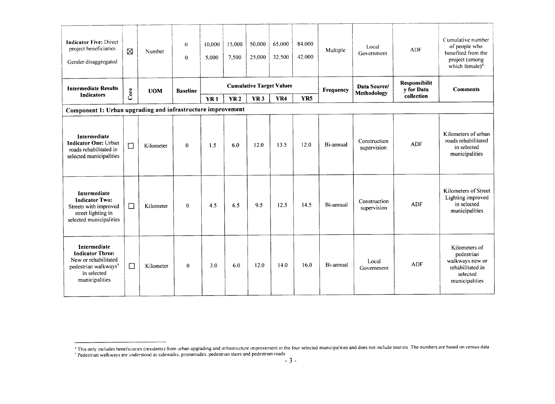| <b>Indicator Five: Direct</b><br>project beneficiaries<br>Gender disaggregated                                                       | ⊠      | Number                        | $\theta$<br>$\theta$ | 10.000<br>5.000                 | 15.000<br>7.500 | 50.000<br>25,000 | 65,000<br>32,500 | 84,000<br>42,000 | Multiple  | Local<br>Government         | <b>ADF</b>                  | Cumulative number<br>of people who<br>benefited from the<br>project (among<br>which female) <sup>4</sup> |
|--------------------------------------------------------------------------------------------------------------------------------------|--------|-------------------------------|----------------------|---------------------------------|-----------------|------------------|------------------|------------------|-----------|-----------------------------|-----------------------------|----------------------------------------------------------------------------------------------------------|
| <b>Intermediate Results</b><br>Indicators                                                                                            | Core   | <b>UOM</b><br><b>Baseline</b> |                      | <b>Cumulative Target Values</b> |                 |                  |                  |                  | Frequency | Data Source/<br>Methodology | Responsibilit<br>y for Data | <b>Comments</b>                                                                                          |
|                                                                                                                                      |        |                               |                      | YR <sub>1</sub>                 | <b>YR2</b>      | <b>YR3</b>       | <b>YR4</b>       | YR5              |           |                             | collection                  |                                                                                                          |
| Component 1: Urban upgrading and infrastructure improvement                                                                          |        |                               |                      |                                 |                 |                  |                  |                  |           |                             |                             |                                                                                                          |
| Intermediate<br><b>Indicator One: Urban</b><br>roads rehabilitated in<br>selected municipalities                                     | $\Box$ | Kilometer                     | $\Omega$             | 1.5                             | 6.0             | 12.0             | 13.5             | 12.0             | Bi-annual | Construction<br>supervision | <b>ADF</b>                  | Kilometers of urban<br>roads rehabilitated<br>in selected<br>municipalities                              |
| Intermediate<br><b>Indicator Two:</b><br>Streets with improved<br>street lighting in<br>selected municipalities                      | $\Box$ | Kilometer                     | $\theta$             | 4.5                             | 6.5             | 9.5              | 12.5             | 14.5             | Bi-annual | Construction<br>supervision | <b>ADF</b>                  | Kilometers of Street<br>Lighting improved<br>in selected<br>municipalities                               |
| Intermediate<br><b>Indicator Three:</b><br>New or rehabilitated<br>pedestrian walkways <sup>5</sup><br>in selected<br>municipalities | $\Box$ | Kilometer                     | $\mathbf{0}$         | 3.0                             | 6.0             | 12.0             | 14.0             | 16.0             | Bi-annual | Local<br>Government         | <b>ADF</b>                  | Kilometers of<br>pedestrian<br>walkways new or<br>rehabilitated in<br>selected<br>municipalities         |

This only includes beneficiaries (residents) from urban upgrading and infrastructure improvement in the four selected municipalities and does not include tourists The numbers are based on census data Pedestrian walkways are understood as sidewalks, promenades, pedestrian stairs and pedestrian roads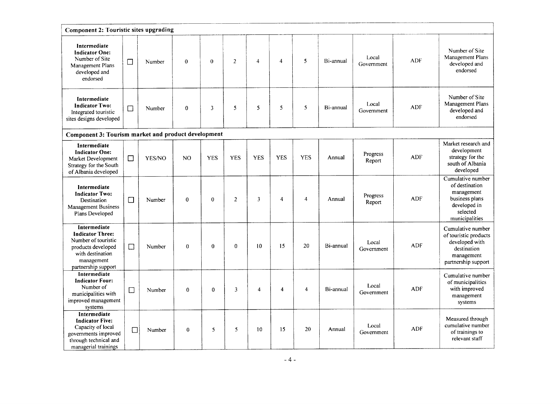| Component 2: Touristic sites upgrading                                                                                                        |        |        |              |              |                |                         |                         |                |           |                     |            |                                                                                                                   |
|-----------------------------------------------------------------------------------------------------------------------------------------------|--------|--------|--------------|--------------|----------------|-------------------------|-------------------------|----------------|-----------|---------------------|------------|-------------------------------------------------------------------------------------------------------------------|
| Intermediate<br><b>Indicator One:</b><br>Number of Site<br>Management Plans<br>developed and<br>endorsed                                      | □      | Number | $\theta$     | $\theta$     | $\overline{2}$ | $\overline{\mathbf{4}}$ | $\overline{4}$          | 5              | Bi-annual | Local<br>Government | <b>ADF</b> | Number of Site<br>Management Plans<br>developed and<br>endorsed                                                   |
| Intermediate<br><b>Indicator Two:</b><br>Integrated touristic<br>sites designs developed                                                      | $\Box$ | Number | $\bf{0}$     | 3            | 5              | 5                       | 5                       | 5              | Bi-annual | Local<br>Government | ADF        | Number of Site<br>Management Plans<br>developed and<br>endorsed                                                   |
| Component 3: Tourism market and product development                                                                                           |        |        |              |              |                |                         |                         |                |           |                     |            |                                                                                                                   |
| Intermediate<br><b>Indicator One:</b><br>Market Development<br>Strategy for the South<br>of Albania developed                                 | $\Box$ | YES/NO | NO           | <b>YES</b>   | <b>YES</b>     | <b>YES</b>              | <b>YES</b>              | <b>YES</b>     | Annual    | Progress<br>Report  | <b>ADF</b> | Market research and<br>development<br>strategy for the<br>south of Albania<br>developed                           |
| Intermediate<br><b>Indicator Two:</b><br>Destination<br><b>Management Business</b><br>Plans Developed                                         | $\Box$ | Number | $\theta$     | $\theta$     | $\overline{2}$ | 3                       | $\overline{4}$          | $\overline{4}$ | Annual    | Progress<br>Report  | <b>ADF</b> | Cumulative number<br>of destination<br>management<br>business plans<br>developed in<br>selected<br>municipalities |
| Intermediate<br><b>Indicator Three:</b><br>Number of touristic<br>products developed<br>with destination<br>management<br>partnership support | $\Box$ | Number | $\mathbf{0}$ | $\mathbf{0}$ | $\bf{0}$       | 10                      | 15                      | 20             | Bi-annual | Local<br>Government | <b>ADF</b> | Cumulative number<br>of touristic products<br>developed with<br>destination<br>management<br>partnership support  |
| <b>Intermediate</b><br><b>Indicator Four:</b><br>Number of<br>municipalities with<br>improved management<br>systems                           | $\Box$ | Number | $\bf{0}$     | $\mathbf{0}$ | $\mathfrak{Z}$ | $\overline{4}$          | $\overline{\mathbf{4}}$ | $\overline{4}$ | Bi-annual | Local<br>Government | <b>ADF</b> | Cumulative number<br>of municipalities<br>with improved<br>management<br>systems                                  |
| Intermediate<br><b>Indicator Five:</b><br>Capacity of local<br>governments improved<br>through technical and<br>managerial trainings          | $\Box$ | Number | $\mathbf{0}$ | 5            | 5              | 10                      | 15                      | 20             | Annual    | Local<br>Government | <b>ADF</b> | Measured through<br>cumulative number<br>of trainings to<br>relevant staff                                        |